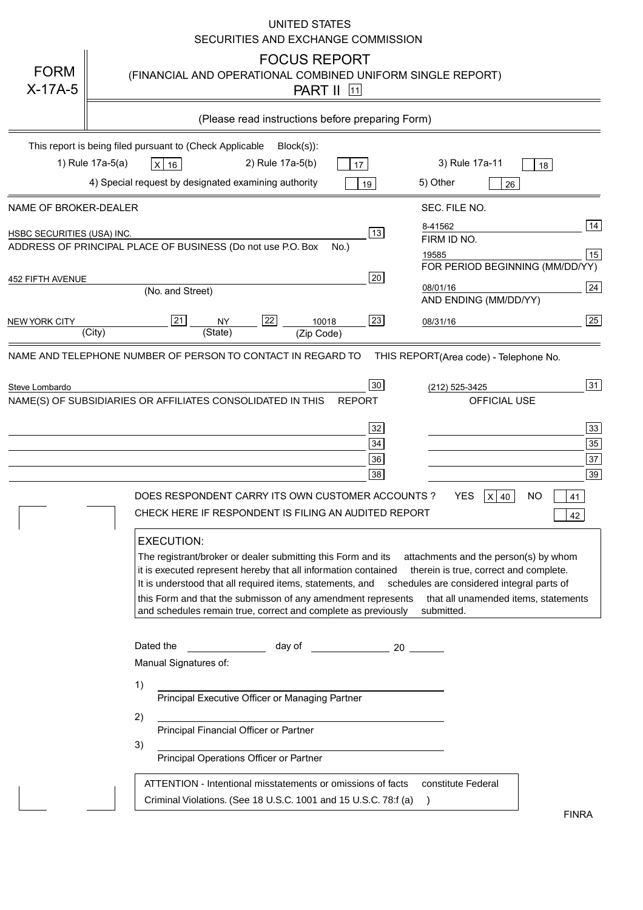|                            | UNITED STATES<br>SECURITIES AND EXCHANGE COMMISSION                                                                                                                                                                                                                                                                                                                                                                                                                                                                                                                                                                                                                                                                                                                                                                                                                                                       |
|----------------------------|-----------------------------------------------------------------------------------------------------------------------------------------------------------------------------------------------------------------------------------------------------------------------------------------------------------------------------------------------------------------------------------------------------------------------------------------------------------------------------------------------------------------------------------------------------------------------------------------------------------------------------------------------------------------------------------------------------------------------------------------------------------------------------------------------------------------------------------------------------------------------------------------------------------|
| <b>FORM</b><br>$X-17A-5$   | <b>FOCUS REPORT</b><br>(FINANCIAL AND OPERATIONAL COMBINED UNIFORM SINGLE REPORT)<br><b>PART II</b> 11                                                                                                                                                                                                                                                                                                                                                                                                                                                                                                                                                                                                                                                                                                                                                                                                    |
|                            | (Please read instructions before preparing Form)                                                                                                                                                                                                                                                                                                                                                                                                                                                                                                                                                                                                                                                                                                                                                                                                                                                          |
|                            | This report is being filed pursuant to (Check Applicable<br>$Block(s)$ :                                                                                                                                                                                                                                                                                                                                                                                                                                                                                                                                                                                                                                                                                                                                                                                                                                  |
|                            | 1) Rule 17a-5(a)<br>3) Rule 17a-11<br>2) Rule 17a-5(b)<br>$X$ 16<br>17<br>18<br>4) Special request by designated examining authority<br>5) Other<br>19<br>26                                                                                                                                                                                                                                                                                                                                                                                                                                                                                                                                                                                                                                                                                                                                              |
| NAME OF BROKER-DEALER      | SEC. FILE NO.                                                                                                                                                                                                                                                                                                                                                                                                                                                                                                                                                                                                                                                                                                                                                                                                                                                                                             |
| HSBC SECURITIES (USA) INC. | 14<br>8-41562<br>13<br>FIRM ID NO.<br>ADDRESS OF PRINCIPAL PLACE OF BUSINESS (Do not use P.O. Box<br>$No.$ )<br>15<br>19585                                                                                                                                                                                                                                                                                                                                                                                                                                                                                                                                                                                                                                                                                                                                                                               |
| 452 FIFTH AVENUE           | FOR PERIOD BEGINNING (MM/DD/YY)<br>20                                                                                                                                                                                                                                                                                                                                                                                                                                                                                                                                                                                                                                                                                                                                                                                                                                                                     |
|                            | 24<br>08/01/16<br>(No. and Street)<br>AND ENDING (MM/DD/YY)                                                                                                                                                                                                                                                                                                                                                                                                                                                                                                                                                                                                                                                                                                                                                                                                                                               |
| <b>NEW YORK CITY</b>       | $\overline{25}$<br>$ 21\rangle$<br>22<br>23<br><b>NY</b><br>10018<br>08/31/16<br>(City)<br>(State)<br>(Zip Code)                                                                                                                                                                                                                                                                                                                                                                                                                                                                                                                                                                                                                                                                                                                                                                                          |
| Steve Lombardo             | 31<br>30<br>(212) 525-3425<br>NAME(S) OF SUBSIDIARIES OR AFFILIATES CONSOLIDATED IN THIS<br>OFFICIAL USE<br><b>REPORT</b><br>$\overline{33}$<br>32<br>$35\,$<br>34<br>$\overline{37}$<br>36<br>39<br>38<br><b>YES</b><br>DOES RESPONDENT CARRY ITS OWN CUSTOMER ACCOUNTS?<br>ΝO<br>$X$ 40<br>41<br>CHECK HERE IF RESPONDENT IS FILING AN AUDITED REPORT<br>42<br><b>EXECUTION:</b><br>The registrant/broker or dealer submitting this Form and its<br>attachments and the person(s) by whom<br>it is executed represent hereby that all information contained<br>therein is true, correct and complete.<br>It is understood that all required items, statements, and<br>schedules are considered integral parts of<br>this Form and that the submisson of any amendment represents<br>that all unamended items, statements<br>and schedules remain true, correct and complete as previously<br>submitted. |
|                            | Dated the<br>day of the control of the control of the control of the control of the control of the control of the control o<br>Manual Signatures of:<br>1)<br>Principal Executive Officer or Managing Partner<br>2)<br>Principal Financial Officer or Partner<br>3)<br>Principal Operations Officer or Partner<br>ATTENTION - Intentional misstatements or omissions of facts<br>constitute Federal<br>Criminal Violations. (See 18 U.S.C. 1001 and 15 U.S.C. 78:f (a)<br>$\rightarrow$                                                                                                                                                                                                                                                                                                                                                                                                                   |
|                            | <b>FINRA</b>                                                                                                                                                                                                                                                                                                                                                                                                                                                                                                                                                                                                                                                                                                                                                                                                                                                                                              |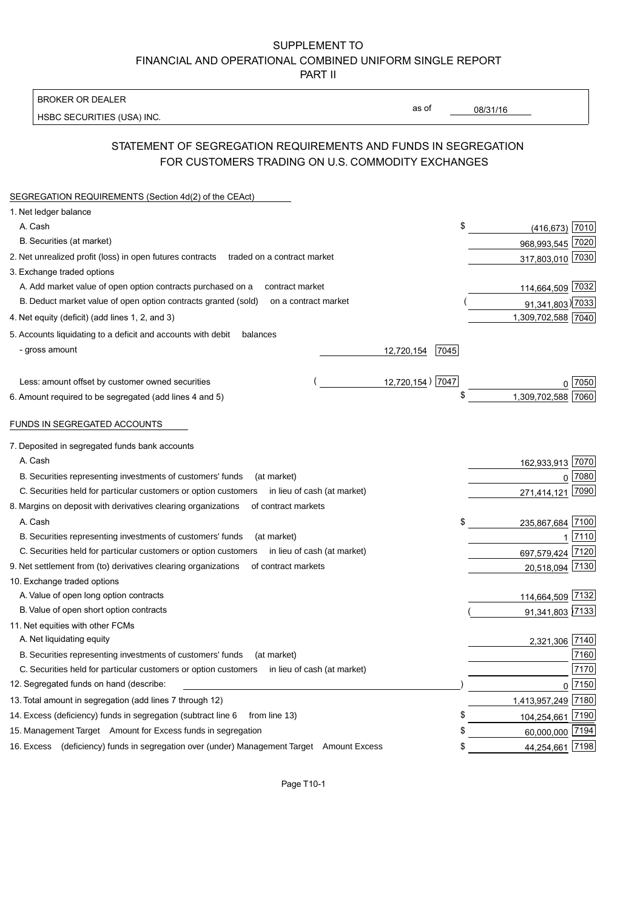### SUPPLEMENT TO FINANCIAL AND OPERATIONAL COMBINED UNIFORM SINGLE REPORT PART II

**BROKER OR DEALER** 

HSBC SECURITIES (USA) INC.

08/31/16

as of

## STATEMENT OF SEGREGATION REQUIREMENTS AND FUNDS IN SEGREGATION FOR CUSTOMERS TRADING ON U.S. COMMODITY EXCHANGES

| SEGREGATION REQUIREMENTS (Section 4d(2) of the CEAct)                                          |                    |                    |                     |
|------------------------------------------------------------------------------------------------|--------------------|--------------------|---------------------|
| 1. Net ledger balance                                                                          |                    |                    |                     |
| A. Cash                                                                                        | \$                 | $(416, 673)$ 7010  |                     |
| B. Securities (at market)                                                                      |                    | 968,993,545 7020   |                     |
| 2. Net unrealized profit (loss) in open futures contracts<br>traded on a contract market       |                    | 317,803,010 7030   |                     |
| 3. Exchange traded options                                                                     |                    |                    |                     |
| A. Add market value of open option contracts purchased on a<br>contract market                 |                    | 114,664,509 7032   |                     |
| B. Deduct market value of open option contracts granted (sold)<br>on a contract market         |                    | 91,341,803) 7033   |                     |
| 4. Net equity (deficit) (add lines 1, 2, and 3)                                                |                    | 1,309,702,588 7040 |                     |
| 5. Accounts liquidating to a deficit and accounts with debit<br>balances                       |                    |                    |                     |
| - gross amount                                                                                 | 12,720,154<br>7045 |                    |                     |
|                                                                                                |                    |                    |                     |
| Less: amount offset by customer owned securities                                               | 12,720,154) 7047   |                    | 7050                |
| 6. Amount required to be segregated (add lines 4 and 5)                                        | \$                 | 1,309,702,588      | 7060                |
| FUNDS IN SEGREGATED ACCOUNTS                                                                   |                    |                    |                     |
| 7. Deposited in segregated funds bank accounts                                                 |                    |                    |                     |
| A. Cash                                                                                        |                    | 162,933,913        | 7070                |
| B. Securities representing investments of customers' funds<br>(at market)                      |                    | $\Omega$           | 7080                |
| C. Securities held for particular customers or option customers<br>in lieu of cash (at market) |                    | 271,414,121        | 7090                |
| 8. Margins on deposit with derivatives clearing organizations<br>of contract markets           |                    |                    |                     |
| A. Cash                                                                                        | \$                 | 235,867,684        | 7100                |
| B. Securities representing investments of customers' funds<br>(at market)                      |                    |                    | 7110                |
| C. Securities held for particular customers or option customers<br>in lieu of cash (at market) |                    | 697,579,424        | 7120                |
| 9. Net settlement from (to) derivatives clearing organizations<br>of contract markets          |                    | 20,518,094         | 7130                |
| 10. Exchange traded options                                                                    |                    |                    |                     |
| A. Value of open long option contracts                                                         |                    | 114,664,509 7132   |                     |
| B. Value of open short option contracts                                                        |                    | 91,341,803 7133    |                     |
| 11. Net equities with other FCMs                                                               |                    |                    |                     |
| A. Net liquidating equity                                                                      |                    | 2,321,306          | 7140                |
| B. Securities representing investments of customers' funds<br>(at market)                      |                    |                    | 7160                |
| C. Securities held for particular customers or option customers<br>in lieu of cash (at market) |                    |                    | 7170                |
| 12. Segregated funds on hand (describe:                                                        |                    |                    | $0 \overline{7150}$ |
| 13. Total amount in segregation (add lines 7 through 12)                                       |                    | 1,413,957,249 7180 |                     |
| 14. Excess (deficiency) funds in segregation (subtract line 6<br>from line 13)                 | £                  | 104,254,661 7190   |                     |
| 15. Management Target Amount for Excess funds in segregation                                   |                    | 60,000,000 7194    |                     |
| 16. Excess (deficiency) funds in segregation over (under) Management Target Amount Excess      | \$                 | 44,254,661 7198    |                     |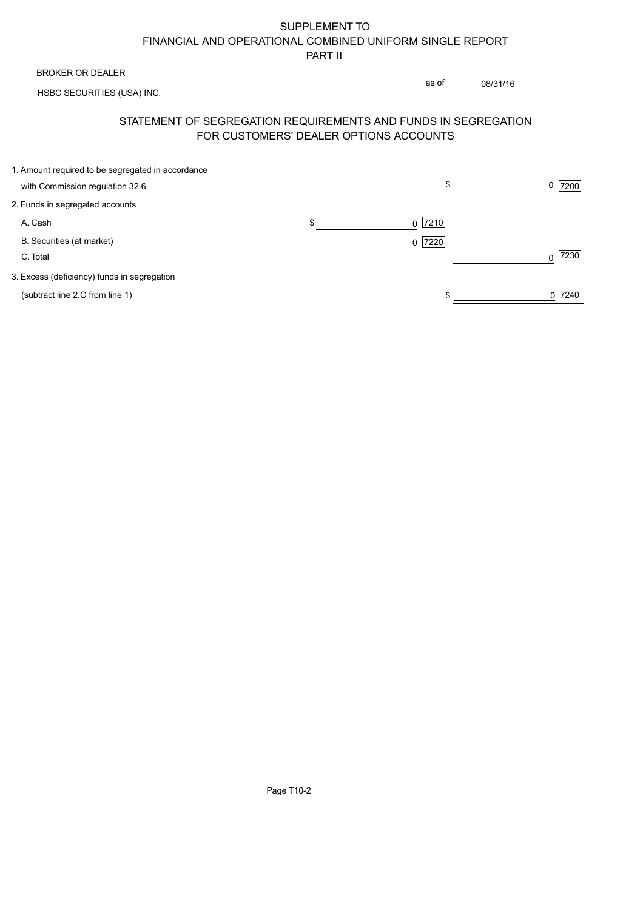# SUPPLEMENT TO FINANCIAL AND OPERATIONAL COMBINED UNIFORM SINGLE REPORT

PART II

| <b>BROKER OR DEALER</b>                                        |                                        | as of     | 08/31/16 |           |
|----------------------------------------------------------------|----------------------------------------|-----------|----------|-----------|
| HSBC SECURITIES (USA) INC.                                     |                                        |           |          |           |
| STATEMENT OF SEGREGATION REQUIREMENTS AND FUNDS IN SEGREGATION | FOR CUSTOMERS' DEALER OPTIONS ACCOUNTS |           |          |           |
| 1. Amount required to be segregated in accordance              |                                        |           |          |           |
| with Commission regulation 32.6                                |                                        | \$        |          | 7200<br>0 |
| 2. Funds in segregated accounts                                |                                        |           |          |           |
| A. Cash                                                        | \$                                     | $0$  7210 |          |           |
| B. Securities (at market)                                      |                                        | $0$  7220 |          |           |
| C. Total                                                       |                                        |           |          | 7230<br>U |
| 3. Excess (deficiency) funds in segregation                    |                                        |           |          |           |
| (subtract line 2.C from line 1)                                |                                        |           |          | 7240      |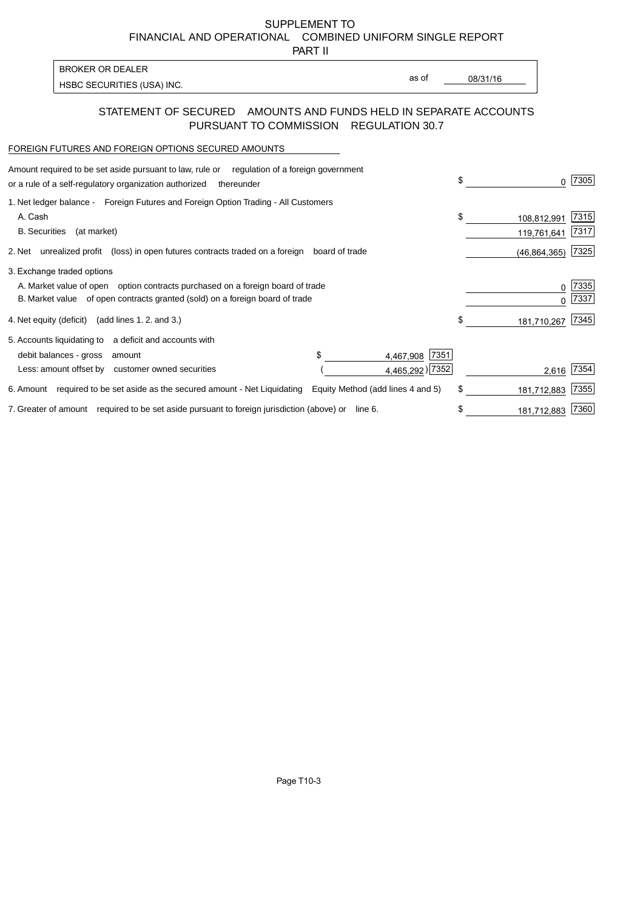SUPPLEMENT TO FINANCIAL AND OPERATIONAL COMBINED UNIFORM SINGLE REPORT

PART II

| <b>BROKER OR DEALER</b>    |
|----------------------------|
| HSBC SECURITIES (USA) INC. |

as of

08/31/16

#### STATEMENT OF SECURED AMOUNTS AND FUNDS HELD IN SEPARATE ACCOUNTS PURSUANT TO COMMISSION REGULATION 30.7

#### FOREIGN FUTURES AND FOREIGN OPTIONS SECURED AMOUNTS

| regulation of a foreign government<br>Amount required to be set aside pursuant to law, rule or<br>or a rule of a self-regulatory organization authorized<br>thereunder                         | \$<br><sup>n</sup>               | 7305         |
|------------------------------------------------------------------------------------------------------------------------------------------------------------------------------------------------|----------------------------------|--------------|
| 1. Net ledger balance - Foreign Futures and Foreign Option Trading - All Customers<br>A. Cash<br><b>B.</b> Securities<br>(at market)                                                           | \$<br>108,812,991<br>119,761,641 | 7315<br>7317 |
| unrealized profit (loss) in open futures contracts traded on a foreign board of trade<br>2. Net                                                                                                | (46, 864, 365)                   | 7325         |
| 3. Exchange traded options<br>A. Market value of open option contracts purchased on a foreign board of trade<br>B. Market value of open contracts granted (sold) on a foreign board of trade   | 0<br>U                           | 7335<br>7337 |
| (add lines 1.2. and 3.)<br>4. Net equity (deficit)                                                                                                                                             | \$<br>181,710,267                | 7345         |
| 5. Accounts liquidating to<br>a deficit and accounts with<br>7351<br>debit balances - gross<br>4,467,908<br>amount<br>4,465,292) [7352]<br>Less: amount offset by<br>customer owned securities | 2,616                            | 7354         |
| 6. Amount required to be set aside as the secured amount - Net Liquidating<br>Equity Method (add lines 4 and 5)                                                                                | \$<br>181,712,883                | 7355         |
| 7. Greater of amount required to be set aside pursuant to foreign jurisdiction (above) or<br>line 6.                                                                                           | 181,712,883                      | 7360         |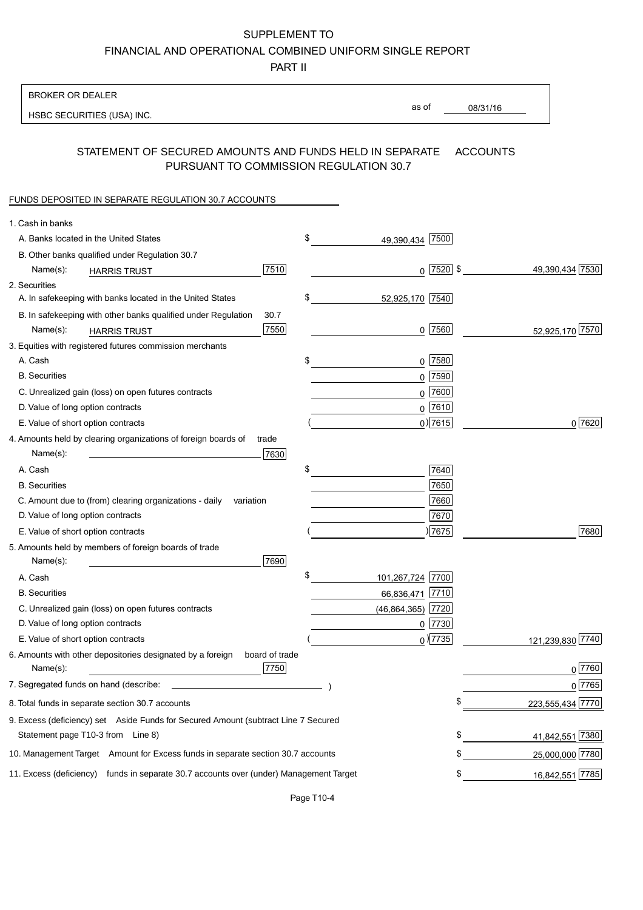SUPPLEMENT TO

FINANCIAL AND OPERATIONAL COMBINED UNIFORM SINGLE REPORT

PART II

| <b>BROKER OR DEALER</b>                                                                           |                        |                 |                  |
|---------------------------------------------------------------------------------------------------|------------------------|-----------------|------------------|
| HSBC SECURITIES (USA) INC.                                                                        | as of                  | 08/31/16        |                  |
|                                                                                                   |                        |                 |                  |
| STATEMENT OF SECURED AMOUNTS AND FUNDS HELD IN SEPARATE<br>PURSUANT TO COMMISSION REGULATION 30.7 |                        | <b>ACCOUNTS</b> |                  |
| FUNDS DEPOSITED IN SEPARATE REGULATION 30.7 ACCOUNTS                                              |                        |                 |                  |
| 1. Cash in banks                                                                                  |                        |                 |                  |
| A. Banks located in the United States                                                             | \$<br>49,390,434 7500  |                 |                  |
| B. Other banks qualified under Regulation 30.7                                                    |                        |                 |                  |
| 7510<br>Name(s):<br><b>HARRIS TRUST</b>                                                           | $0$ 7520 \$            |                 | 49,390,434 7530  |
| 2. Securities                                                                                     |                        |                 |                  |
| A. In safekeeping with banks located in the United States                                         | \$<br>52,925,170 7540  |                 |                  |
| 30.7<br>B. In safekeeping with other banks qualified under Regulation                             |                        |                 |                  |
| 7550<br>Name(s):<br><b>HARRIS TRUST</b>                                                           | $0$ 7560               |                 | 52,925,170 7570  |
| 3. Equities with registered futures commission merchants                                          |                        |                 |                  |
| A. Cash                                                                                           | \$<br>$0$ 7580         |                 |                  |
| <b>B.</b> Securities                                                                              | $0$ 7590               |                 |                  |
| C. Unrealized gain (loss) on open futures contracts                                               | $0$ 7600               |                 |                  |
| D. Value of long option contracts                                                                 | $0$ 7610               |                 |                  |
| E. Value of short option contracts                                                                | $0)$ 7615              |                 | 0 7620           |
| 4. Amounts held by clearing organizations of foreign boards of<br>trade                           |                        |                 |                  |
| 7630<br>Name(s):                                                                                  |                        |                 |                  |
| A. Cash                                                                                           | \$<br>7640             |                 |                  |
| <b>B.</b> Securities                                                                              | 7650                   |                 |                  |
| C. Amount due to (from) clearing organizations - daily<br>variation                               | 7660                   |                 |                  |
| D. Value of long option contracts                                                                 | 7670                   |                 |                  |
| E. Value of short option contracts                                                                | $ \overline{7675} $    |                 | 7680             |
| 5. Amounts held by members of foreign boards of trade                                             |                        |                 |                  |
| Name(s):<br>7690                                                                                  |                        |                 |                  |
| A. Cash                                                                                           | \$<br>101,267,724 7700 |                 |                  |
| <b>B.</b> Securities                                                                              | 7710<br>66,836,471     |                 |                  |
| C. Unrealized gain (loss) on open futures contracts                                               | (46, 864, 365)<br>7720 |                 |                  |
| D. Value of long option contracts                                                                 | 0 7730                 |                 |                  |
| E. Value of short option contracts                                                                | $_0$ ) 7735            |                 | 121,239,830 7740 |
| 6. Amounts with other depositories designated by a foreign<br>board of trade                      |                        |                 |                  |
| 7750<br>Name(s):                                                                                  |                        |                 | 0 7760           |
| 7. Segregated funds on hand (describe:                                                            |                        |                 | 0 7765           |
| 8. Total funds in separate section 30.7 accounts                                                  |                        | \$              | 223,555,434 7770 |
| 9. Excess (deficiency) set Aside Funds for Secured Amount (subtract Line 7 Secured                |                        |                 |                  |
| Statement page T10-3 from Line 8)                                                                 |                        | \$              | 41,842,551 7380  |
| 10. Management Target Amount for Excess funds in separate section 30.7 accounts                   |                        | \$              | 25,000,000 7780  |
|                                                                                                   |                        |                 |                  |
| 11. Excess (deficiency) funds in separate 30.7 accounts over (under) Management Target            |                        |                 | 16,842,551 7785  |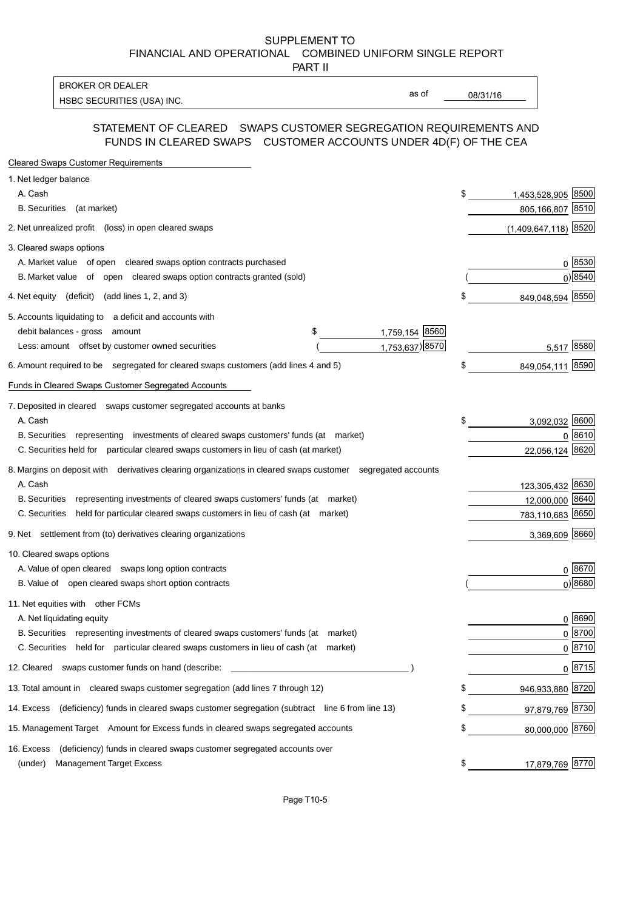SUPPLEMENT TO FINANCIAL AND OPERATIONAL COMBINED UNIFORM SINGLE REPORT

PART II

**BROKER OR DEALER** HSBC SECURITIES (USA) INC.

as of

 $08/31/16$ 

### STATEMENT OF CLEARED SWAPS CUSTOMER SEGREGATION REQUIREMENTS AND FUNDS IN CLEARED SWAPS CUSTOMER ACCOUNTS UNDER 4D(F) OF THE CEA

| <b>Cleared Swaps Customer Requirements</b>                                                                  |    |                        |
|-------------------------------------------------------------------------------------------------------------|----|------------------------|
| 1. Net ledger balance                                                                                       |    |                        |
| A. Cash                                                                                                     | \$ | 1,453,528,905 8500     |
| B. Securities (at market)                                                                                   |    | 805,166,807 8510       |
| 2. Net unrealized profit (loss) in open cleared swaps                                                       |    | $(1,409,647,118)$ 8520 |
| 3. Cleared swaps options                                                                                    |    |                        |
| A. Market value of open cleared swaps option contracts purchased                                            |    | 0 8530                 |
| B. Market value of open cleared swaps option contracts granted (sold)                                       |    | 0) 8540                |
| 4. Net equity (deficit) (add lines 1, 2, and 3)                                                             |    | 849,048,594 8550       |
| 5. Accounts liquidating to a deficit and accounts with                                                      |    |                        |
| 1,759,154 8560<br>debit balances - gross amount<br>\$                                                       |    |                        |
| 1,753,637) 8570<br>Less: amount offset by customer owned securities                                         |    | 5,517 8580             |
| 6. Amount required to be segregated for cleared swaps customers (add lines 4 and 5)                         | \$ | 849,054,111 8590       |
| Funds in Cleared Swaps Customer Segregated Accounts                                                         |    |                        |
| 7. Deposited in cleared swaps customer segregated accounts at banks                                         |    |                        |
| A. Cash                                                                                                     | \$ | 3,092,032 8600         |
| B. Securities representing investments of cleared swaps customers' funds (at market)                        |    | 0 8610                 |
| C. Securities held for particular cleared swaps customers in lieu of cash (at market)                       |    | 22,056,124 8620        |
| 8. Margins on deposit with derivatives clearing organizations in cleared swaps customer segregated accounts |    |                        |
| A. Cash                                                                                                     |    | 123,305,432 8630       |
| <b>B.</b> Securities<br>representing investments of cleared swaps customers' funds (at market)              |    | 12,000,000 8640        |
| C. Securities<br>held for particular cleared swaps customers in lieu of cash (at market)                    |    | 783,110,683 8650       |
| 9. Net settlement from (to) derivatives clearing organizations                                              |    | 3,369,609 8660         |
| 10. Cleared swaps options                                                                                   |    |                        |
| A. Value of open cleared swaps long option contracts                                                        |    | 0 8670                 |
| B. Value of open cleared swaps short option contracts                                                       |    | $0$ ) 8680             |
| 11. Net equities with other FCMs                                                                            |    |                        |
| A. Net liquidating equity                                                                                   |    | 0 8690                 |
| B. Securities representing investments of cleared swaps customers' funds (at market)                        |    | $0^{8700}$             |
| C. Securities<br>held for particular cleared swaps customers in lieu of cash (at market)                    |    | 0 8710                 |
| 12. Cleared swaps customer funds on hand (describe:                                                         |    | $0 \; 8715$            |
| 13. Total amount in cleared swaps customer segregation (add lines 7 through 12)                             | S  | 946,933,880 8720       |
| (deficiency) funds in cleared swaps customer segregation (subtract line 6 from line 13)<br>14. Excess       | S  | 97,879,769 8730        |
| 15. Management Target Amount for Excess funds in cleared swaps segregated accounts                          | \$ | 80,000,000 8760        |
| 16. Excess<br>(deficiency) funds in cleared swaps customer segregated accounts over                         |    |                        |
| <b>Management Target Excess</b><br>(under)                                                                  | \$ | 17,879,769 8770        |